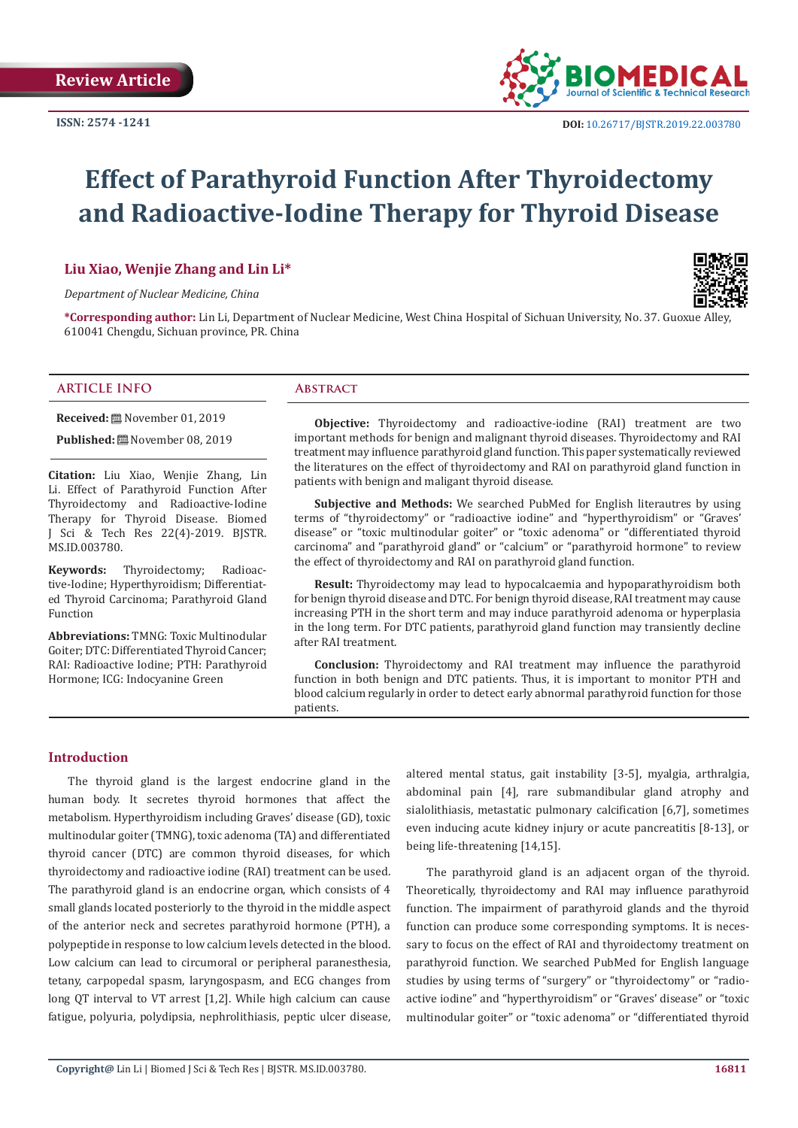

# **Effect of Parathyroid Function After Thyroidectomy and Radioactive-Iodine Therapy for Thyroid Disease**

#### **Liu Xiao, Wenjie Zhang and Lin Li\***

*Department of Nuclear Medicine, China*



**\*Corresponding author:** Lin Li, Department of Nuclear Medicine, West China Hospital of Sichuan University, No. 37. Guoxue Alley, 610041 Chengdu, Sichuan province, PR. China

#### **ARTICLE INFO Abstract**

**Received:** November 01, 2019

Published: **■**November 08, 2019

**Citation:** Liu Xiao, Wenjie Zhang, Lin Li. Effect of Parathyroid Function After Thyroidectomy and Radioactive-Iodine Therapy for Thyroid Disease. Biomed J Sci & Tech Res 22(4)-2019. BJSTR. MS.ID.003780.

**Keywords:** Thyroidectomy; Radioactive-Iodine; Hyperthyroidism; Differentiated Thyroid Carcinoma; Parathyroid Gland Function

**Abbreviations:** TMNG: Toxic Multinodular Goiter; DTC: Differentiated Thyroid Cancer; RAI: Radioactive Iodine; PTH: Parathyroid Hormone; ICG: Indocyanine Green

**Objective:** Thyroidectomy and radioactive-iodine (RAI) treatment are two important methods for benign and malignant thyroid diseases. Thyroidectomy and RAI treatment may influence parathyroid gland function. This paper systematically reviewed the literatures on the effect of thyroidectomy and RAI on parathyroid gland function in patients with benign and maligant thyroid disease.

**Subjective and Methods:** We searched PubMed for English literautres by using terms of "thyroidectomy" or "radioactive iodine" and "hyperthyroidism" or "Graves' disease" or "toxic multinodular goiter" or "toxic adenoma" or "differentiated thyroid carcinoma" and "parathyroid gland" or "calcium" or "parathyroid hormone" to review the effect of thyroidectomy and RAI on parathyroid gland function.

**Result:** Thyroidectomy may lead to hypocalcaemia and hypoparathyroidism both for benign thyroid disease and DTC. For benign thyroid disease, RAI treatment may cause increasing PTH in the short term and may induce parathyroid adenoma or hyperplasia in the long term. For DTC patients, parathyroid gland function may transiently decline after RAI treatment.

**Conclusion:** Thyroidectomy and RAI treatment may influence the parathyroid function in both benign and DTC patients. Thus, it is important to monitor PTH and blood calcium regularly in order to detect early abnormal parathyroid function for those patients.

#### **Introduction**

The thyroid gland is the largest endocrine gland in the human body. It secretes thyroid hormones that affect the metabolism. Hyperthyroidism including Graves' disease (GD), toxic multinodular goiter (TMNG), toxic adenoma (TA) and differentiated thyroid cancer (DTC) are common thyroid diseases, for which thyroidectomy and radioactive iodine (RAI) treatment can be used. The parathyroid gland is an endocrine organ, which consists of 4 small glands located posteriorly to the thyroid in the middle aspect of the anterior neck and secretes parathyroid hormone (PTH), a polypeptide in response to low calcium levels detected in the blood. Low calcium can lead to circumoral or peripheral paranesthesia, tetany, carpopedal spasm, laryngospasm, and ECG changes from long QT interval to VT arrest [1,2]. While high calcium can cause fatigue, polyuria, polydipsia, nephrolithiasis, peptic ulcer disease, altered mental status, gait instability [3-5], myalgia, arthralgia, abdominal pain [4], rare submandibular gland atrophy and sialolithiasis, metastatic pulmonary calcification [6,7], sometimes even inducing acute kidney injury or acute pancreatitis [8-13], or being life-threatening [14,15].

The parathyroid gland is an adjacent organ of the thyroid. Theoretically, thyroidectomy and RAI may influence parathyroid function. The impairment of parathyroid glands and the thyroid function can produce some corresponding symptoms. It is necessary to focus on the effect of RAI and thyroidectomy treatment on parathyroid function. We searched PubMed for English language studies by using terms of "surgery" or "thyroidectomy" or "radioactive iodine" and "hyperthyroidism" or "Graves' disease" or "toxic multinodular goiter" or "toxic adenoma" or "differentiated thyroid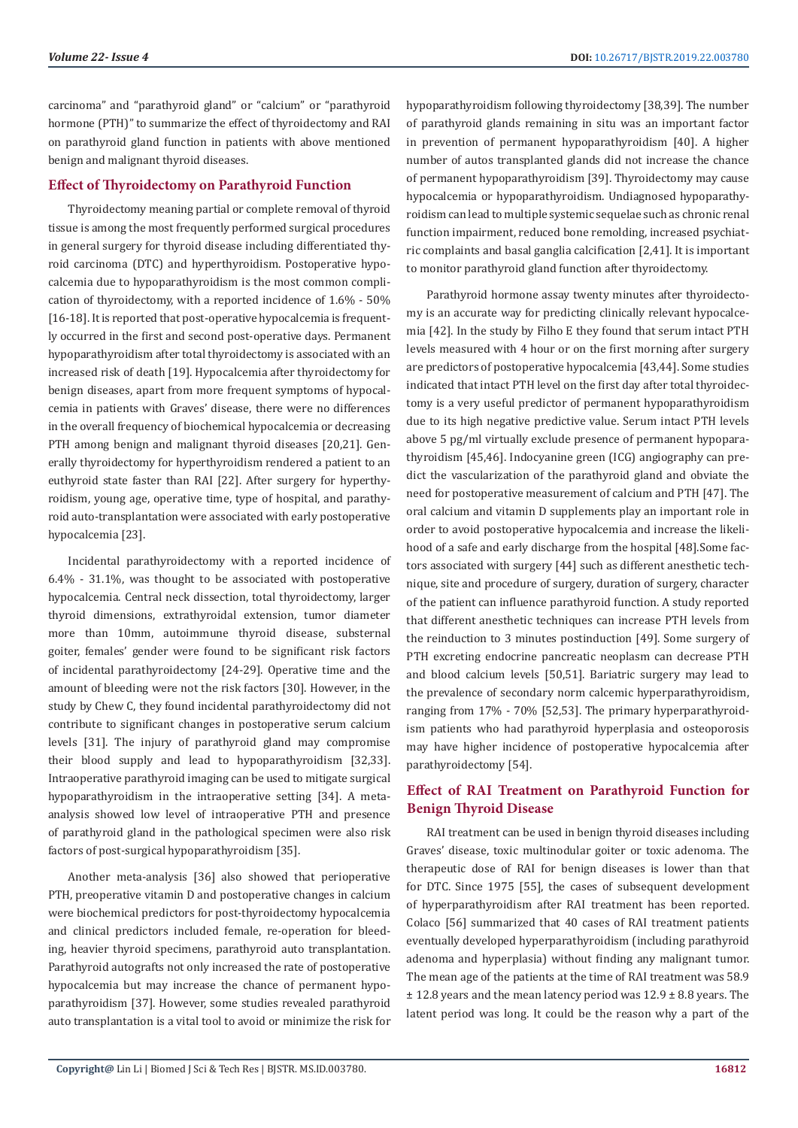carcinoma" and "parathyroid gland" or "calcium" or "parathyroid hormone (PTH)" to summarize the effect of thyroidectomy and RAI on parathyroid gland function in patients with above mentioned benign and malignant thyroid diseases.

#### **Effect of Thyroidectomy on Parathyroid Function**

Thyroidectomy meaning partial or complete removal of thyroid tissue is among the most frequently performed surgical procedures in general surgery for thyroid disease including differentiated thyroid carcinoma (DTC) and hyperthyroidism. Postoperative hypocalcemia due to hypoparathyroidism is the most common complication of thyroidectomy, with a reported incidence of 1.6% - 50% [16-18]. It is reported that post-operative hypocalcemia is frequently occurred in the first and second post-operative days. Permanent hypoparathyroidism after total thyroidectomy is associated with an increased risk of death [19]. Hypocalcemia after thyroidectomy for benign diseases, apart from more frequent symptoms of hypocalcemia in patients with Graves' disease, there were no differences in the overall frequency of biochemical hypocalcemia or decreasing PTH among benign and malignant thyroid diseases [20,21]. Generally thyroidectomy for hyperthyroidism rendered a patient to an euthyroid state faster than RAI [22]. After surgery for hyperthyroidism, young age, operative time, type of hospital, and parathyroid auto-transplantation were associated with early postoperative hypocalcemia [23].

Incidental parathyroidectomy with a reported incidence of 6.4% - 31.1%, was thought to be associated with postoperative hypocalcemia. Central neck dissection, total thyroidectomy, larger thyroid dimensions, extrathyroidal extension, tumor diameter more than 10mm, autoimmune thyroid disease, substernal goiter, females' gender were found to be significant risk factors of incidental parathyroidectomy [24-29]. Operative time and the amount of bleeding were not the risk factors [30]. However, in the study by Chew C, they found incidental parathyroidectomy did not contribute to significant changes in postoperative serum calcium levels [31]. The injury of parathyroid gland may compromise their blood supply and lead to hypoparathyroidism [32,33]. Intraoperative parathyroid imaging can be used to mitigate surgical hypoparathyroidism in the intraoperative setting [34]. A metaanalysis showed low level of intraoperative PTH and presence of parathyroid gland in the pathological specimen were also risk factors of post-surgical hypoparathyroidism [35].

Another meta-analysis [36] also showed that perioperative PTH, preoperative vitamin D and postoperative changes in calcium were biochemical predictors for post-thyroidectomy hypocalcemia and clinical predictors included female, re-operation for bleeding, heavier thyroid specimens, parathyroid auto transplantation. Parathyroid autografts not only increased the rate of postoperative hypocalcemia but may increase the chance of permanent hypoparathyroidism [37]. However, some studies revealed parathyroid auto transplantation is a vital tool to avoid or minimize the risk for hypoparathyroidism following thyroidectomy [38,39]. The number of parathyroid glands remaining in situ was an important factor in prevention of permanent hypoparathyroidism [40]. A higher number of autos transplanted glands did not increase the chance of permanent hypoparathyroidism [39]. Thyroidectomy may cause hypocalcemia or hypoparathyroidism. Undiagnosed hypoparathyroidism can lead to multiple systemic sequelae such as chronic renal function impairment, reduced bone remolding, increased psychiatric complaints and basal ganglia calcification [2,41]. It is important to monitor parathyroid gland function after thyroidectomy.

Parathyroid hormone assay twenty minutes after thyroidectomy is an accurate way for predicting clinically relevant hypocalcemia [42]. In the study by Filho E they found that serum intact PTH levels measured with 4 hour or on the first morning after surgery are predictors of postoperative hypocalcemia [43,44]. Some studies indicated that intact PTH level on the first day after total thyroidectomy is a very useful predictor of permanent hypoparathyroidism due to its high negative predictive value. Serum intact PTH levels above 5 pg/ml virtually exclude presence of permanent hypoparathyroidism [45,46]. Indocyanine green (ICG) angiography can predict the vascularization of the parathyroid gland and obviate the need for postoperative measurement of calcium and PTH [47]. The oral calcium and vitamin D supplements play an important role in order to avoid postoperative hypocalcemia and increase the likelihood of a safe and early discharge from the hospital [48].Some factors associated with surgery [44] such as different anesthetic technique, site and procedure of surgery, duration of surgery, character of the patient can influence parathyroid function. A study reported that different anesthetic techniques can increase PTH levels from the reinduction to 3 minutes postinduction [49]. Some surgery of PTH excreting endocrine pancreatic neoplasm can decrease PTH and blood calcium levels [50,51]. Bariatric surgery may lead to the prevalence of secondary norm calcemic hyperparathyroidism, ranging from 17% - 70% [52,53]. The primary hyperparathyroidism patients who had parathyroid hyperplasia and osteoporosis may have higher incidence of postoperative hypocalcemia after parathyroidectomy [54].

# **Effect of RAI Treatment on Parathyroid Function for Benign Thyroid Disease**

RAI treatment can be used in benign thyroid diseases including Graves' disease, toxic multinodular goiter or toxic adenoma. The therapeutic dose of RAI for benign diseases is lower than that for DTC. Since 1975 [55], the cases of subsequent development of hyperparathyroidism after RAI treatment has been reported. Colaco [56] summarized that 40 cases of RAI treatment patients eventually developed hyperparathyroidism (including parathyroid adenoma and hyperplasia) without finding any malignant tumor. The mean age of the patients at the time of RAI treatment was 58.9 ± 12.8 years and the mean latency period was 12.9 ± 8.8 years. The latent period was long. It could be the reason why a part of the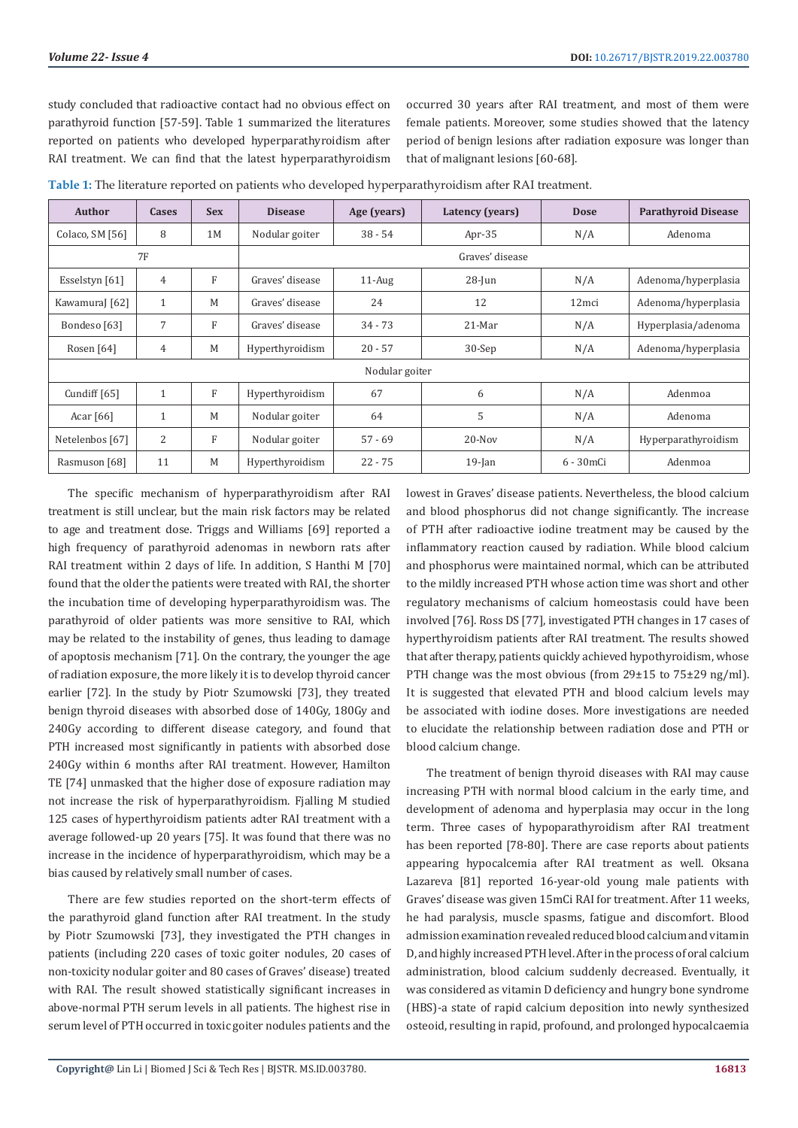study concluded that radioactive contact had no obvious effect on parathyroid function [57-59]. Table 1 summarized the literatures reported on patients who developed hyperparathyroidism after RAI treatment. We can find that the latest hyperparathyroidism

occurred 30 years after RAI treatment, and most of them were female patients. Moreover, some studies showed that the latency period of benign lesions after radiation exposure was longer than that of malignant lesions [60-68].

| Author          | Cases        | <b>Sex</b> | <b>Disease</b>  | Age (years) | Latency (years) | <b>Dose</b>       | <b>Parathyroid Disease</b> |
|-----------------|--------------|------------|-----------------|-------------|-----------------|-------------------|----------------------------|
| Colaco, SM [56] | 8            | 1M         | Nodular goiter  | $38 - 54$   | Apr- $35$       | N/A               | Adenoma                    |
| <b>7F</b>       |              |            | Graves' disease |             |                 |                   |                            |
| Esselstyn [61]  | 4            | F          | Graves' disease | $11-Aug$    | $28$ -Jun       | N/A               | Adenoma/hyperplasia        |
| KawamuraJ [62]  | $\mathbf{1}$ | M          | Graves' disease | 24          | 12              | 12 <sub>mci</sub> | Adenoma/hyperplasia        |
| Bondeso [63]    | 7            | F          | Graves' disease | $34 - 73$   | $21$ -Mar       | N/A               | Hyperplasia/adenoma        |
| Rosen [64]      | 4            | M          | Hyperthyroidism | $20 - 57$   | $30-Sep$        | N/A               | Adenoma/hyperplasia        |
| Nodular goiter  |              |            |                 |             |                 |                   |                            |
| Cundiff [65]    | $\mathbf{1}$ | F          | Hyperthyroidism | 67          | 6               | N/A               | Adenmoa                    |
| Acar $[66]$     | $\mathbf{1}$ | M          | Nodular goiter  | 64          | 5               | N/A               | Adenoma                    |
| Netelenbos [67] | 2            | F          | Nodular goiter  | $57 - 69$   | $20$ -Nov       | N/A               | Hyperparathyroidism        |
| Rasmuson [68]   | 11           | M          | Hyperthyroidism | $22 - 75$   | $19$ -Jan       | 6 - 30 mCi        | Adenmoa                    |

**Table 1:** The literature reported on patients who developed hyperparathyroidism after RAI treatment.

The specific mechanism of hyperparathyroidism after RAI treatment is still unclear, but the main risk factors may be related to age and treatment dose. Triggs and Williams [69] reported a high frequency of parathyroid adenomas in newborn rats after RAI treatment within 2 days of life. In addition, S Hanthi M [70] found that the older the patients were treated with RAI, the shorter the incubation time of developing hyperparathyroidism was. The parathyroid of older patients was more sensitive to RAI, which may be related to the instability of genes, thus leading to damage of apoptosis mechanism [71]. On the contrary, the younger the age of radiation exposure, the more likely it is to develop thyroid cancer earlier [72]. In the study by Piotr Szumowski [73], they treated benign thyroid diseases with absorbed dose of 140Gy, 180Gy and 240Gy according to different disease category, and found that PTH increased most significantly in patients with absorbed dose 240Gy within 6 months after RAI treatment. However, Hamilton TE [74] unmasked that the higher dose of exposure radiation may not increase the risk of hyperparathyroidism. Fjalling M studied 125 cases of hyperthyroidism patients adter RAI treatment with a average followed-up 20 years [75]. It was found that there was no increase in the incidence of hyperparathyroidism, which may be a bias caused by relatively small number of cases.

There are few studies reported on the short-term effects of the parathyroid gland function after RAI treatment. In the study by Piotr Szumowski [73], they investigated the PTH changes in patients (including 220 cases of toxic goiter nodules, 20 cases of non-toxicity nodular goiter and 80 cases of Graves' disease) treated with RAI. The result showed statistically significant increases in above-normal PTH serum levels in all patients. The highest rise in serum level of PTH occurred in toxic goiter nodules patients and the

lowest in Graves' disease patients. Nevertheless, the blood calcium and blood phosphorus did not change significantly. The increase of PTH after radioactive iodine treatment may be caused by the inflammatory reaction caused by radiation. While blood calcium and phosphorus were maintained normal, which can be attributed to the mildly increased PTH whose action time was short and other regulatory mechanisms of calcium homeostasis could have been involved [76]. Ross DS [77], investigated PTH changes in 17 cases of hyperthyroidism patients after RAI treatment. The results showed that after therapy, patients quickly achieved hypothyroidism, whose PTH change was the most obvious (from 29±15 to 75±29 ng/ml). It is suggested that elevated PTH and blood calcium levels may be associated with iodine doses. More investigations are needed to elucidate the relationship between radiation dose and PTH or blood calcium change.

The treatment of benign thyroid diseases with RAI may cause increasing PTH with normal blood calcium in the early time, and development of adenoma and hyperplasia may occur in the long term. Three cases of hypoparathyroidism after RAI treatment has been reported [78-80]. There are case reports about patients appearing hypocalcemia after RAI treatment as well. Oksana Lazareva [81] reported 16-year-old young male patients with Graves' disease was given 15mCi RAI for treatment. After 11 weeks, he had paralysis, muscle spasms, fatigue and discomfort. Blood admission examination revealed reduced blood calcium and vitamin D, and highly increased PTH level. After in the process of oral calcium administration, blood calcium suddenly decreased. Eventually, it was considered as vitamin D deficiency and hungry bone syndrome (HBS)-a state of rapid calcium deposition into newly synthesized osteoid, resulting in rapid, profound, and prolonged hypocalcaemia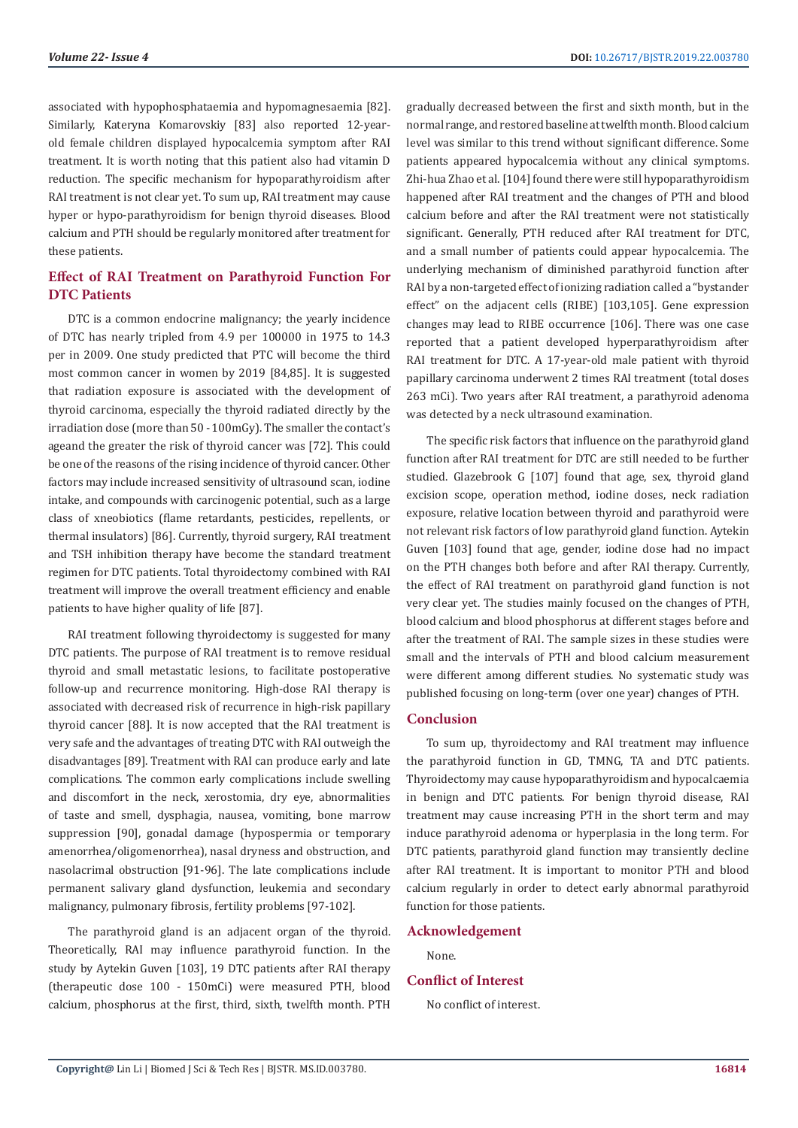associated with hypophosphataemia and hypomagnesaemia [82]. Similarly, Kateryna Komarovskiy [83] also reported 12-yearold female children displayed hypocalcemia symptom after RAI treatment. It is worth noting that this patient also had vitamin D reduction. The specific mechanism for hypoparathyroidism after RAI treatment is not clear yet. To sum up, RAI treatment may cause hyper or hypo-parathyroidism for benign thyroid diseases. Blood calcium and PTH should be regularly monitored after treatment for these patients.

# **Effect of RAI Treatment on Parathyroid Function For DTC Patients**

DTC is a common endocrine malignancy; the yearly incidence of DTC has nearly tripled from 4.9 per 100000 in 1975 to 14.3 per in 2009. One study predicted that PTC will become the third most common cancer in women by 2019 [84,85]. It is suggested that radiation exposure is associated with the development of thyroid carcinoma, especially the thyroid radiated directly by the irradiation dose (more than 50 - 100mGy). The smaller the contact's ageand the greater the risk of thyroid cancer was [72]. This could be one of the reasons of the rising incidence of thyroid cancer. Other factors may include increased sensitivity of ultrasound scan, iodine intake, and compounds with carcinogenic potential, such as a large class of xneobiotics (flame retardants, pesticides, repellents, or thermal insulators) [86]. Currently, thyroid surgery, RAI treatment and TSH inhibition therapy have become the standard treatment regimen for DTC patients. Total thyroidectomy combined with RAI treatment will improve the overall treatment efficiency and enable patients to have higher quality of life [87].

RAI treatment following thyroidectomy is suggested for many DTC patients. The purpose of RAI treatment is to remove residual thyroid and small metastatic lesions, to facilitate postoperative follow-up and recurrence monitoring. High-dose RAI therapy is associated with decreased risk of recurrence in high-risk papillary thyroid cancer [88]. It is now accepted that the RAI treatment is very safe and the advantages of treating DTC with RAI outweigh the disadvantages [89]. Treatment with RAI can produce early and late complications. The common early complications include swelling and discomfort in the neck, xerostomia, dry eye, abnormalities of taste and smell, dysphagia, nausea, vomiting, bone marrow suppression [90], gonadal damage (hypospermia or temporary amenorrhea/oligomenorrhea), nasal dryness and obstruction, and nasolacrimal obstruction [91-96]. The late complications include permanent salivary gland dysfunction, leukemia and secondary malignancy, pulmonary fibrosis, fertility problems [97-102].

The parathyroid gland is an adjacent organ of the thyroid. Theoretically, RAI may influence parathyroid function. In the study by Aytekin Guven [103], 19 DTC patients after RAI therapy (therapeutic dose 100 - 150mCi) were measured PTH, blood calcium, phosphorus at the first, third, sixth, twelfth month. PTH gradually decreased between the first and sixth month, but in the normal range, and restored baseline at twelfth month. Blood calcium level was similar to this trend without significant difference. Some patients appeared hypocalcemia without any clinical symptoms. Zhi-hua Zhao et al. [104] found there were still hypoparathyroidism happened after RAI treatment and the changes of PTH and blood calcium before and after the RAI treatment were not statistically significant. Generally, PTH reduced after RAI treatment for DTC, and a small number of patients could appear hypocalcemia. The underlying mechanism of diminished parathyroid function after RAI by a non-targeted effect of ionizing radiation called a "bystander effect" on the adjacent cells (RIBE) [103,105]. Gene expression changes may lead to RIBE occurrence [106]. There was one case reported that a patient developed hyperparathyroidism after RAI treatment for DTC. A 17-year-old male patient with thyroid papillary carcinoma underwent 2 times RAI treatment (total doses 263 mCi). Two years after RAI treatment, a parathyroid adenoma was detected by a neck ultrasound examination.

The specific risk factors that influence on the parathyroid gland function after RAI treatment for DTC are still needed to be further studied. Glazebrook G [107] found that age, sex, thyroid gland excision scope, operation method, iodine doses, neck radiation exposure, relative location between thyroid and parathyroid were not relevant risk factors of low parathyroid gland function. Aytekin Guven [103] found that age, gender, iodine dose had no impact on the PTH changes both before and after RAI therapy. Currently, the effect of RAI treatment on parathyroid gland function is not very clear yet. The studies mainly focused on the changes of PTH, blood calcium and blood phosphorus at different stages before and after the treatment of RAI. The sample sizes in these studies were small and the intervals of PTH and blood calcium measurement were different among different studies. No systematic study was published focusing on long-term (over one year) changes of PTH.

#### **Conclusion**

To sum up, thyroidectomy and RAI treatment may influence the parathyroid function in GD, TMNG, TA and DTC patients. Thyroidectomy may cause hypoparathyroidism and hypocalcaemia in benign and DTC patients. For benign thyroid disease, RAI treatment may cause increasing PTH in the short term and may induce parathyroid adenoma or hyperplasia in the long term. For DTC patients, parathyroid gland function may transiently decline after RAI treatment. It is important to monitor PTH and blood calcium regularly in order to detect early abnormal parathyroid function for those patients.

### **Acknowledgement**

None.

#### **Conflict of Interest**

No conflict of interest.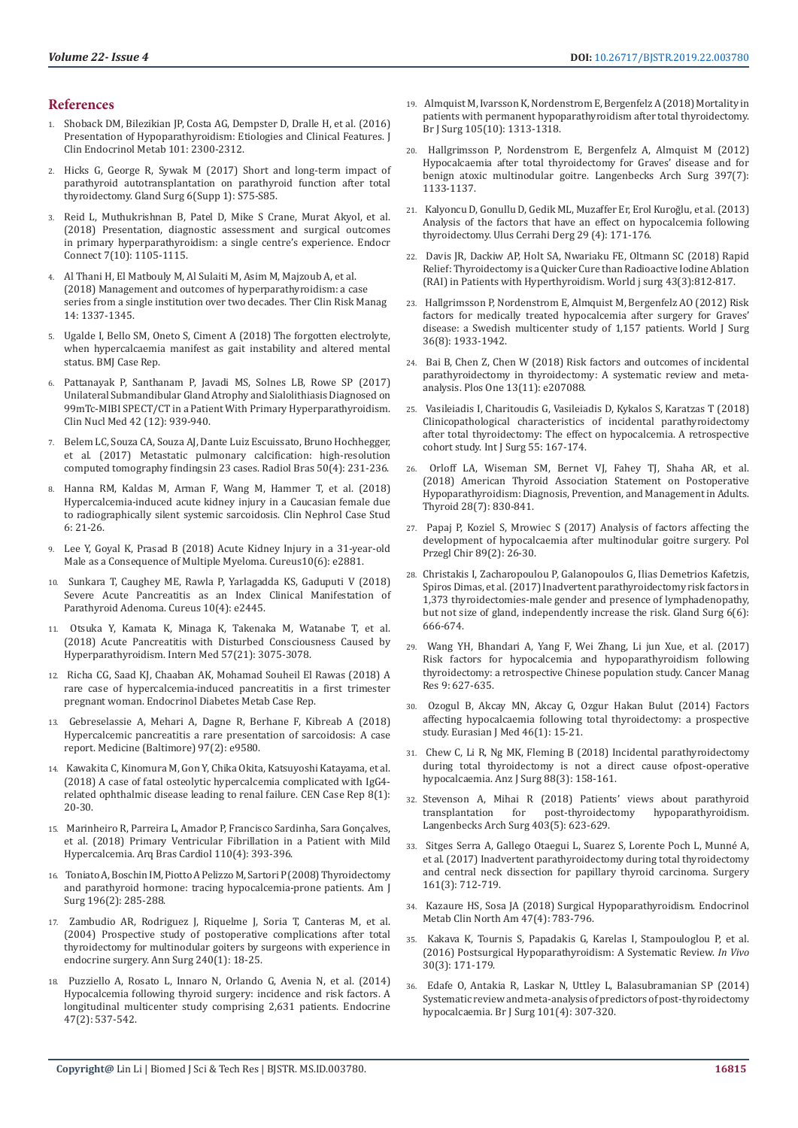#### **References**

- 1. [Shoback DM, Bilezikian JP, Costa AG, Dempster D, Dralle H, et al. \(2016\)](https://www.ncbi.nlm.nih.gov/pubmed/26943721)  [Presentation of Hypoparathyroidism: Etiologies and Clinical Features. J](https://www.ncbi.nlm.nih.gov/pubmed/26943721)  [Clin Endocrinol Metab 101: 2300-2312](https://www.ncbi.nlm.nih.gov/pubmed/26943721).
- 2. [Hicks G, George R, Sywak M \(2017\) Short and long-term impact of](https://www.ncbi.nlm.nih.gov/pmc/articles/PMC5756758/)  [parathyroid autotransplantation on parathyroid function after total](https://www.ncbi.nlm.nih.gov/pmc/articles/PMC5756758/)  [thyroidectomy. Gland Surg 6\(Supp 1\): S75-S85.](https://www.ncbi.nlm.nih.gov/pmc/articles/PMC5756758/)
- 3. [Reid L, Muthukrishnan B, Patel D, Mike S Crane, Murat Akyol, et al.](https://www.ncbi.nlm.nih.gov/pmc/articles/PMC6198194/)  [\(2018\) Presentation, diagnostic assessment and surgical outcomes](https://www.ncbi.nlm.nih.gov/pmc/articles/PMC6198194/)  [in primary hyperparathyroidism: a single centre's experience. Endocr](https://www.ncbi.nlm.nih.gov/pmc/articles/PMC6198194/)  [Connect 7\(10\): 1105-1115.](https://www.ncbi.nlm.nih.gov/pmc/articles/PMC6198194/)
- 4. [Al Thani H, El Matbouly M, Al Sulaiti M, Asim M, Majzoub A, et al.](https://www.ncbi.nlm.nih.gov/pubmed/30104880)  [\(2018\) Management and outcomes of hyperparathyroidism: a case](https://www.ncbi.nlm.nih.gov/pubmed/30104880)  [series from a single institution over two decades. Ther Clin Risk Manag](https://www.ncbi.nlm.nih.gov/pubmed/30104880)  [14: 1337-1345.](https://www.ncbi.nlm.nih.gov/pubmed/30104880)
- 5. [Ugalde I, Bello SM, Oneto S, Ciment A \(2018\) The forgotten electrolyte,](https://www.ncbi.nlm.nih.gov/pubmed/29507034)  [when hypercalcaemia manifest as gait instability and altered mental](https://www.ncbi.nlm.nih.gov/pubmed/29507034)  [status. BMJ Case Rep.](https://www.ncbi.nlm.nih.gov/pubmed/29507034)
- 6. [Pattanayak P, Santhanam P, Javadi MS, Solnes LB, Rowe SP \(2017\)](https://www.ncbi.nlm.nih.gov/pubmed/29036000)  [Unilateral Submandibular Gland Atrophy and Sialolithiasis Diagnosed on](https://www.ncbi.nlm.nih.gov/pubmed/29036000)  [99mTc-MIBI SPECT/CT in a Patient With Primary Hyperparathyroidism.](https://www.ncbi.nlm.nih.gov/pubmed/29036000)  [Clin Nucl Med 42 \(12\): 939-940.](https://www.ncbi.nlm.nih.gov/pubmed/29036000)
- 7. [Belem LC, Souza CA, Souza AJ, Dante Luiz Escuissato, Bruno Hochhegger,](https://www.ncbi.nlm.nih.gov/pmc/articles/PMC5586513/)  [et al. \(2017\) Metastatic pulmonary calcification: high-resolution](https://www.ncbi.nlm.nih.gov/pmc/articles/PMC5586513/)  [computed tomography findingsin 23 cases. Radiol Bras 50\(4\): 231-236](https://www.ncbi.nlm.nih.gov/pmc/articles/PMC5586513/).
- 8. [Hanna RM, Kaldas M, Arman F, Wang M, Hammer T, et al. \(2018\)](https://www.ncbi.nlm.nih.gov/pubmed/30206511)  [Hypercalcemia-induced acute kidney injury in a Caucasian female due](https://www.ncbi.nlm.nih.gov/pubmed/30206511)  [to radiographically silent systemic sarcoidosis. Clin Nephrol Case Stud](https://www.ncbi.nlm.nih.gov/pubmed/30206511)  [6: 21-26.](https://www.ncbi.nlm.nih.gov/pubmed/30206511)
- 9. [Lee Y, Goyal K, Prasad B \(2018\) Acute Kidney Injury in a 31-year-old](https://www.cureus.com/articles/12815-acute-kidney-injury-in-a-31-year-old-male-as-a-consequence-of-multiple-myeloma)  [Male as a Consequence of Multiple Myeloma. Cureus10\(6\): e2881](https://www.cureus.com/articles/12815-acute-kidney-injury-in-a-31-year-old-male-as-a-consequence-of-multiple-myeloma).
- 10. [Sunkara T, Caughey ME, Rawla P, Yarlagadda KS, Gaduputi V \(2018\)](https://www.ncbi.nlm.nih.gov/pubmed/29888149)  [Severe Acute Pancreatitis as an Index Clinical Manifestation of](https://www.ncbi.nlm.nih.gov/pubmed/29888149)  [Parathyroid Adenoma. Cureus 10\(4\): e2445.](https://www.ncbi.nlm.nih.gov/pubmed/29888149)
- 11. [Otsuka Y, Kamata K, Minaga K, Takenaka M, Watanabe T, et al.](https://www.ncbi.nlm.nih.gov/pubmed/29877272)  [\(2018\) Acute Pancreatitis with Disturbed Consciousness Caused by](https://www.ncbi.nlm.nih.gov/pubmed/29877272)  [Hyperparathyroidism. Intern Med 57\(21\): 3075-3078.](https://www.ncbi.nlm.nih.gov/pubmed/29877272)
- 12. [Richa CG, Saad KJ, Chaaban AK, Mohamad Souheil El Rawas \(2018\) A](https://www.ncbi.nlm.nih.gov/pmc/articles/PMC5881426/)  [rare case of hypercalcemia-induced pancreatitis in a first trimester](https://www.ncbi.nlm.nih.gov/pmc/articles/PMC5881426/)  [pregnant woman. Endocrinol Diabetes Metab Case Rep.](https://www.ncbi.nlm.nih.gov/pmc/articles/PMC5881426/)
- 13. [Gebreselassie A, Mehari A, Dagne R, Berhane F, Kibreab A \(2018\)](https://www.ncbi.nlm.nih.gov/pubmed/29480854)  [Hypercalcemic pancreatitis a rare presentation of sarcoidosis: A case](https://www.ncbi.nlm.nih.gov/pubmed/29480854)  [report. Medicine \(Baltimore\) 97\(2\): e9580.](https://www.ncbi.nlm.nih.gov/pubmed/29480854)
- 14. [Kawakita C, Kinomura M, Gon Y, Chika Okita, Katsuyoshi Katayama, et al.](https://www.ncbi.nlm.nih.gov/pmc/articles/PMC6361087/)  [\(2018\) A case of fatal osteolytic hypercalcemia complicated with IgG4](https://www.ncbi.nlm.nih.gov/pmc/articles/PMC6361087/) [related ophthalmic disease leading to renal failure. CEN Case Rep 8\(1\):](https://www.ncbi.nlm.nih.gov/pmc/articles/PMC6361087/)  [20-30.](https://www.ncbi.nlm.nih.gov/pmc/articles/PMC6361087/)
- 15. [Marinheiro R, Parreira L, Amador P, Francisco Sardinha, Sara Gonçalves,](https://www.ncbi.nlm.nih.gov/pmc/articles/PMC5941966/)  [et al. \(2018\) Primary Ventricular Fibrillation in a Patient with Mild](https://www.ncbi.nlm.nih.gov/pmc/articles/PMC5941966/)  [Hypercalcemia. Arq Bras Cardiol 110\(4\): 393-396.](https://www.ncbi.nlm.nih.gov/pmc/articles/PMC5941966/)
- 16. [Toniato A, Boschin IM, Piotto A Pelizzo M, Sartori P \(2008\) Thyroidectomy](https://www.ncbi.nlm.nih.gov/pubmed/18466858)  [and parathyroid hormone: tracing hypocalcemia-prone patients. Am J](https://www.ncbi.nlm.nih.gov/pubmed/18466858)  [Surg 196\(2\): 285-288.](https://www.ncbi.nlm.nih.gov/pubmed/18466858)
- 17. [Zambudio AR, Rodriguez J, Riquelme J, Soria T, Canteras M, et al.](https://www.ncbi.nlm.nih.gov/pubmed/15213613)  [\(2004\) Prospective study of postoperative complications after total](https://www.ncbi.nlm.nih.gov/pubmed/15213613)  [thyroidectomy for multinodular goiters by surgeons with experience in](https://www.ncbi.nlm.nih.gov/pubmed/15213613)  [endocrine surgery. Ann Surg 240\(1\): 18-25.](https://www.ncbi.nlm.nih.gov/pubmed/15213613)
- 18. [Puzziello A, Rosato L, Innaro N, Orlando G, Avenia N, et al. \(2014\)](https://www.ncbi.nlm.nih.gov/pubmed/24563161)  [Hypocalcemia following thyroid surgery: incidence and risk factors. A](https://www.ncbi.nlm.nih.gov/pubmed/24563161)  [longitudinal multicenter study comprising 2,631 patients. Endocrine](https://www.ncbi.nlm.nih.gov/pubmed/24563161)  [47\(2\): 537-542.](https://www.ncbi.nlm.nih.gov/pubmed/24563161)
- 19. [Almquist M, Ivarsson K, Nordenstrom E, Bergenfelz A \(2018\) Mortality in](https://www.ncbi.nlm.nih.gov/pubmed/29663312) [patients with permanent hypoparathyroidism after total thyroidectomy.](https://www.ncbi.nlm.nih.gov/pubmed/29663312) [Br J Surg 105\(10\): 1313-1318.](https://www.ncbi.nlm.nih.gov/pubmed/29663312)
- 20. [Hallgrimsson P, Nordenstrom E, Bergenfelz A, Almquist M \(2012\)](https://www.ncbi.nlm.nih.gov/pubmed/22976368) [Hypocalcaemia after total thyroidectomy for Graves' disease and for](https://www.ncbi.nlm.nih.gov/pubmed/22976368) [benign atoxic multinodular goitre. Langenbecks Arch Surg 397\(7\):](https://www.ncbi.nlm.nih.gov/pubmed/22976368) [1133-1137.](https://www.ncbi.nlm.nih.gov/pubmed/22976368)
- 21. [Kalyoncu D, Gonullu D, Gedik ML, Muzaffer Er, Erol Kuro](https://www.ncbi.nlm.nih.gov/pmc/articles/PMC4382813/)ğlu, et al. (2013) [Analysis of the factors that have an effect on hypocalcemia following](https://www.ncbi.nlm.nih.gov/pmc/articles/PMC4382813/) [thyroidectomy. Ulus Cerrahi Derg 29 \(4\): 171-176.](https://www.ncbi.nlm.nih.gov/pmc/articles/PMC4382813/)
- 22. [Davis JR, Dackiw AP, Holt SA, Nwariaku FE, Oltmann SC \(2018\) Rapid](https://www.ncbi.nlm.nih.gov/pubmed/30483883) [Relief: Thyroidectomy is a Quicker Cure than Radioactive Iodine Ablation](https://www.ncbi.nlm.nih.gov/pubmed/30483883) [\(RAI\) in Patients with Hyperthyroidism. World j surg 43\(3\):812-817.](https://www.ncbi.nlm.nih.gov/pubmed/30483883)
- 23. [Hallgrimsson P, Nordenstrom E, Almquist M, Bergenfelz AO \(2012\) Risk](https://www.ncbi.nlm.nih.gov/pubmed/22476788) [factors for medically treated hypocalcemia after surgery for Graves'](https://www.ncbi.nlm.nih.gov/pubmed/22476788) [disease: a Swedish multicenter study of 1,157 patients. World J Surg](https://www.ncbi.nlm.nih.gov/pubmed/22476788) [36\(8\): 1933-1942.](https://www.ncbi.nlm.nih.gov/pubmed/22476788)
- 24. [Bai B, Chen Z, Chen W \(2018\) Risk factors and outcomes of incidental](https://www.ncbi.nlm.nih.gov/pubmed/30412639) [parathyroidectomy in thyroidectomy: A systematic review and meta](https://www.ncbi.nlm.nih.gov/pubmed/30412639)[analysis. Plos One 13\(11\): e207088.](https://www.ncbi.nlm.nih.gov/pubmed/30412639)
- 25. [Vasileiadis I, Charitoudis G, Vasileiadis D, Kykalos S, Karatzas T \(2018\)](https://europepmc.org/abstract/med/29864531) [Clinicopathological characteristics of incidental parathyroidectomy](https://europepmc.org/abstract/med/29864531) [after total thyroidectomy: The effect on hypocalcemia. A retrospective](https://europepmc.org/abstract/med/29864531) [cohort study. Int J Surg 55: 167-174.](https://europepmc.org/abstract/med/29864531)
- 26. [Orloff LA, Wiseman SM, Bernet VJ, Fahey TJ, Shaha AR, et al.](https://www.ncbi.nlm.nih.gov/pubmed/29848235) [\(2018\) American Thyroid Association Statement on Postoperative](https://www.ncbi.nlm.nih.gov/pubmed/29848235) [Hypoparathyroidism: Diagnosis, Prevention, and Management in Adults.](https://www.ncbi.nlm.nih.gov/pubmed/29848235) [Thyroid 28\(7\): 830-841.](https://www.ncbi.nlm.nih.gov/pubmed/29848235)
- 27. [Papaj P, Koziel S, Mrowiec S \(2017\) Analysis of factors affecting the](https://www.ncbi.nlm.nih.gov/pubmed/28537560) [development of hypocalcaemia after multinodular goitre surgery. Pol](https://www.ncbi.nlm.nih.gov/pubmed/28537560) [Przegl Chir 89\(2\): 26-30.](https://www.ncbi.nlm.nih.gov/pubmed/28537560)
- 28. [Christakis I, Zacharopoulou P, Galanopoulos G, Ilias Demetrios Kafetzis,](https://www.ncbi.nlm.nih.gov/pmc/articles/PMC5750319/) [Spiros Dimas, et al. \(2017\) Inadvertent parathyroidectomy risk factors in](https://www.ncbi.nlm.nih.gov/pmc/articles/PMC5750319/) [1,373 thyroidectomies-male gender and presence of lymphadenopathy,](https://www.ncbi.nlm.nih.gov/pmc/articles/PMC5750319/) [but not size of gland, independently increase the risk. Gland Surg 6\(6\):](https://www.ncbi.nlm.nih.gov/pmc/articles/PMC5750319/) [666-674.](https://www.ncbi.nlm.nih.gov/pmc/articles/PMC5750319/)
- 29. [Wang YH, Bhandari A, Yang F, Wei Zhang, Li jun Xue, et al. \(2017\)](https://www.ncbi.nlm.nih.gov/pmc/articles/PMC5697449/) [Risk factors for hypocalcemia and hypoparathyroidism following](https://www.ncbi.nlm.nih.gov/pmc/articles/PMC5697449/) [thyroidectomy: a retrospective Chinese population study. Cancer Manag](https://www.ncbi.nlm.nih.gov/pmc/articles/PMC5697449/) [Res 9: 627-635.](https://www.ncbi.nlm.nih.gov/pmc/articles/PMC5697449/)
- 30. [Ozogul B, Akcay MN, Akcay G, Ozgur Hakan Bulut \(2014\) Factors](https://www.ncbi.nlm.nih.gov/pmc/articles/PMC4261442/) [affecting hypocalcaemia following total thyroidectomy: a prospective](https://www.ncbi.nlm.nih.gov/pmc/articles/PMC4261442/) [study. Eurasian J Med 46\(1\): 15-21.](https://www.ncbi.nlm.nih.gov/pmc/articles/PMC4261442/)
- 31. [Chew C, Li R, Ng MK, Fleming B \(2018\) Incidental parathyroidectomy](https://www.ncbi.nlm.nih.gov/pubmed/28304123) [during total thyroidectomy is not a direct cause ofpost-operative](https://www.ncbi.nlm.nih.gov/pubmed/28304123) [hypocalcaemia. Anz J Surg 88\(3\): 158-161.](https://www.ncbi.nlm.nih.gov/pubmed/28304123)
- 32. [Stevenson A, Mihai R \(2018\) Patients' views about parathyroid](https://www.ncbi.nlm.nih.gov/pubmed/29971614) hypoparathyroidism. [Langenbecks Arch Surg 403\(5\): 623-629.](https://www.ncbi.nlm.nih.gov/pubmed/29971614)
- 33. [Sitges Serra A, Gallego Otaegui L, Suarez S, Lorente Poch L, Munné A,](https://www.ncbi.nlm.nih.gov/pubmed/27743717) [et al. \(2017\) Inadvertent parathyroidectomy during total thyroidectomy](https://www.ncbi.nlm.nih.gov/pubmed/27743717) [and central neck dissection for papillary thyroid carcinoma. Surgery](https://www.ncbi.nlm.nih.gov/pubmed/27743717) [161\(3\): 712-719.](https://www.ncbi.nlm.nih.gov/pubmed/27743717)
- 34. [Kazaure HS, Sosa JA \(2018\) Surgical Hypoparathyroidism. Endocrinol](https://www.ncbi.nlm.nih.gov/pubmed/30390813) [Metab Clin North Am 47\(4\): 783-796.](https://www.ncbi.nlm.nih.gov/pubmed/30390813)
- 35. [Kakava K, Tournis S, Papadakis G, Karelas I, Stampouloglou P, et al.](https://www.ncbi.nlm.nih.gov/pubmed/27107072) [\(2016\) Postsurgical Hypoparathyroidism: A Systematic Review.](https://www.ncbi.nlm.nih.gov/pubmed/27107072) *In Vivo* [30\(3\): 171-179.](https://www.ncbi.nlm.nih.gov/pubmed/27107072)
- 36. [Edafe O, Antakia R, Laskar N, Uttley L, Balasubramanian SP \(2014\)](https://www.ncbi.nlm.nih.gov/pubmed/24402815) [Systematic review and meta-analysis of predictors of post-thyroidectomy](https://www.ncbi.nlm.nih.gov/pubmed/24402815) [hypocalcaemia. Br J Surg 101\(4\): 307-320.](https://www.ncbi.nlm.nih.gov/pubmed/24402815)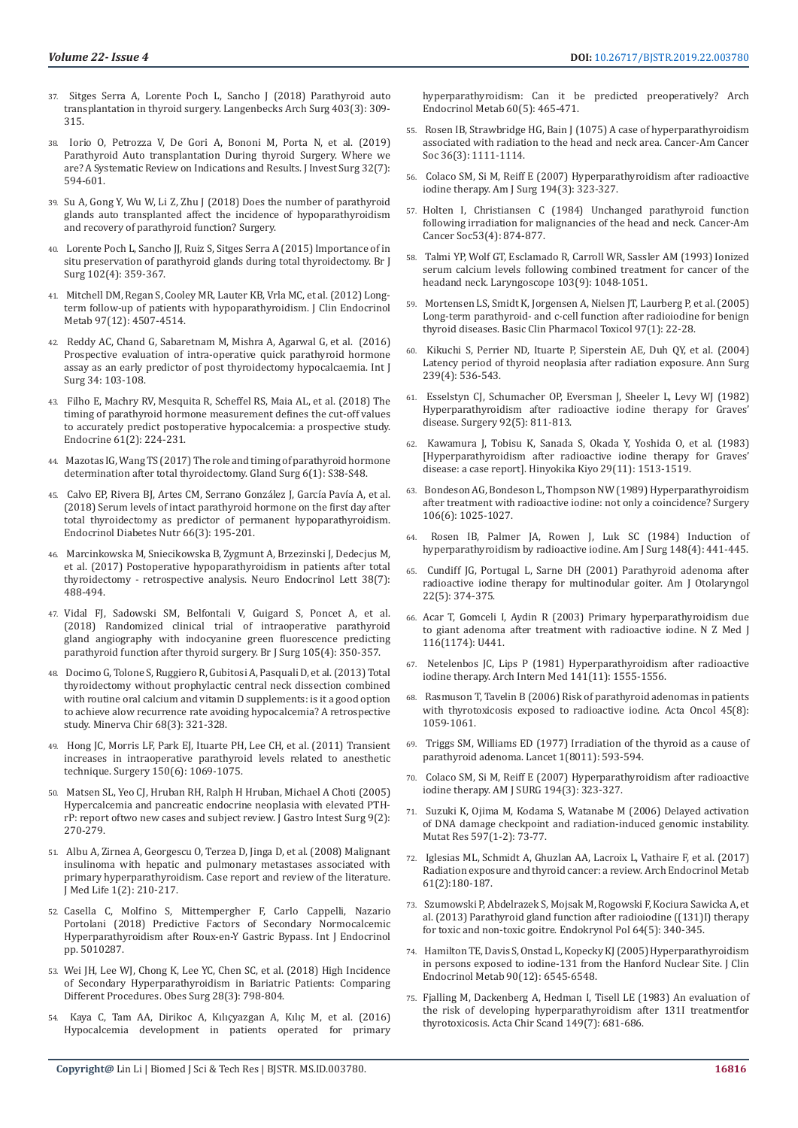- 37. [Sitges Serra A, Lorente Poch L, Sancho J \(2018\) Parathyroid auto](https://www.ncbi.nlm.nih.gov/pubmed/29429003)  [transplantation in thyroid surgery. Langenbecks Arch Surg 403\(3\): 309-](https://www.ncbi.nlm.nih.gov/pubmed/29429003) [315.](https://www.ncbi.nlm.nih.gov/pubmed/29429003)
- 38. [Iorio O, Petrozza V, De Gori A, Bononi M, Porta N, et al. \(2019\)](https://www.ncbi.nlm.nih.gov/pubmed/29658811)  [Parathyroid Auto transplantation During thyroid Surgery. Where we](https://www.ncbi.nlm.nih.gov/pubmed/29658811)  [are? A Systematic Review on Indications and Results. J Invest Surg 32\(7\):](https://www.ncbi.nlm.nih.gov/pubmed/29658811)  [594-601.](https://www.ncbi.nlm.nih.gov/pubmed/29658811)
- 39. [Su A, Gong Y, Wu W, Li Z, Zhu J \(2018\) Does the number of parathyroid](https://www.ncbi.nlm.nih.gov/pubmed/29398031)  [glands auto transplanted affect the incidence of hypoparathyroidism](https://www.ncbi.nlm.nih.gov/pubmed/29398031)  [and recovery of parathyroid function? Surgery.](https://www.ncbi.nlm.nih.gov/pubmed/29398031)
- 40. [Lorente Poch L, Sancho JJ, Ruiz S, Sitges Serra A \(2015\) Importance of in](https://www.ncbi.nlm.nih.gov/pubmed/25605285)  [situ preservation of parathyroid glands during total thyroidectomy. Br J](https://www.ncbi.nlm.nih.gov/pubmed/25605285)  [Surg 102\(4\): 359-367.](https://www.ncbi.nlm.nih.gov/pubmed/25605285)
- 41. [Mitchell DM, Regan S, Cooley MR, Lauter KB, Vrla MC, et al. \(2012\) Long](https://www.ncbi.nlm.nih.gov/pubmed/23043192)[term follow-up of patients with hypoparathyroidism. J Clin Endocrinol](https://www.ncbi.nlm.nih.gov/pubmed/23043192)  [Metab 97\(12\): 4507-4514.](https://www.ncbi.nlm.nih.gov/pubmed/23043192)
- 42. [Reddy AC, Chand G, Sabaretnam M, Mishra A, Agarwal G, et al. \(2016\)](https://www.ncbi.nlm.nih.gov/pubmed/27530498)  [Prospective evaluation of intra-operative quick parathyroid hormone](https://www.ncbi.nlm.nih.gov/pubmed/27530498)  [assay as an early predictor of post thyroidectomy hypocalcaemia. Int J](https://www.ncbi.nlm.nih.gov/pubmed/27530498)  [Surg 34: 103-108.](https://www.ncbi.nlm.nih.gov/pubmed/27530498)
- 43. [Filho E, Machry RV, Mesquita R, Scheffel RS, Maia AL, et al. \(2018\) The](https://www.ncbi.nlm.nih.gov/pubmed/29721800)  [timing of parathyroid hormone measurement defines the cut-off values](https://www.ncbi.nlm.nih.gov/pubmed/29721800)  [to accurately predict postoperative hypocalcemia: a prospective study.](https://www.ncbi.nlm.nih.gov/pubmed/29721800)  [Endocrine 61\(2\): 224-231.](https://www.ncbi.nlm.nih.gov/pubmed/29721800)
- 44. [Mazotas IG, Wang TS \(2017\) The role and timing of parathyroid hormone](https://www.ncbi.nlm.nih.gov/pubmed/29322021)  [determination after total thyroidectomy. Gland Surg 6\(1\): S38-S48.](https://www.ncbi.nlm.nih.gov/pubmed/29322021)
- 45. [Calvo EP, Rivera BJ, Artes CM, Serrano González J, García Pavía A, et al.](https://www.ncbi.nlm.nih.gov/pubmed/30392997)  [\(2018\) Serum levels of intact parathyroid hormone on the first day after](https://www.ncbi.nlm.nih.gov/pubmed/30392997)  [total thyroidectomy as predictor of permanent hypoparathyroidism.](https://www.ncbi.nlm.nih.gov/pubmed/30392997)  [Endocrinol Diabetes Nutr 66\(3\): 195-201.](https://www.ncbi.nlm.nih.gov/pubmed/30392997)
- 46. [Marcinkowska M, Sniecikowska B, Zygmunt A, Brzezinski J, Dedecjus M,](https://www.ncbi.nlm.nih.gov/pubmed/29369600)  [et al. \(2017\) Postoperative hypoparathyroidism in patients after total](https://www.ncbi.nlm.nih.gov/pubmed/29369600)  [thyroidectomy - retrospective analysis. Neuro Endocrinol Lett 38\(7\):](https://www.ncbi.nlm.nih.gov/pubmed/29369600)  [488-494.](https://www.ncbi.nlm.nih.gov/pubmed/29369600)
- 47. [Vidal FJ, Sadowski SM, Belfontali V, Guigard S, Poncet A, et al.](https://www.ncbi.nlm.nih.gov/pubmed/29405252)  [\(2018\) Randomized clinical trial of intraoperative parathyroid](https://www.ncbi.nlm.nih.gov/pubmed/29405252)  [gland angiography with indocyanine green fluorescence predicting](https://www.ncbi.nlm.nih.gov/pubmed/29405252)  [parathyroid function after thyroid surgery. Br J Surg 105\(4\): 350-357.](https://www.ncbi.nlm.nih.gov/pubmed/29405252)
- 48. [Docimo G, Tolone S, Ruggiero R, Gubitosi A, Pasquali D, et al. \(2013\) Total](https://www.ncbi.nlm.nih.gov/pubmed/23774098)  [thyroidectomy without prophylactic central neck dissection combined](https://www.ncbi.nlm.nih.gov/pubmed/23774098)  [with routine oral calcium and vitamin D supplements: is it a good option](https://www.ncbi.nlm.nih.gov/pubmed/23774098)  [to achieve alow recurrence rate avoiding hypocalcemia? A retrospective](https://www.ncbi.nlm.nih.gov/pubmed/23774098)  [study. Minerva Chir 68\(3\): 321-328.](https://www.ncbi.nlm.nih.gov/pubmed/23774098)
- 49. [Hong JC, Morris LF, Park EJ, Ituarte PH, Lee CH, et al. \(2011\) Transient](https://www.ncbi.nlm.nih.gov/pubmed/22136823)  [increases in intraoperative parathyroid levels related to anesthetic](https://www.ncbi.nlm.nih.gov/pubmed/22136823)  [technique. Surgery 150\(6\): 1069-1075.](https://www.ncbi.nlm.nih.gov/pubmed/22136823)
- 50. [Matsen SL, Yeo CJ, Hruban RH, Ralph H Hruban, Michael A Choti \(2005\)](https://link.springer.com/article/10.1016/j.gassur.2004.06.012)  [Hypercalcemia and pancreatic endocrine neoplasia with elevated PTH](https://link.springer.com/article/10.1016/j.gassur.2004.06.012)[rP: report oftwo new cases and subject review. J Gastro Intest Surg 9\(2\):](https://link.springer.com/article/10.1016/j.gassur.2004.06.012)  [270-279.](https://link.springer.com/article/10.1016/j.gassur.2004.06.012)
- 51. [Albu A, Zirnea A, Georgescu O, Terzea D, Jinga D, et al. \(2008\) Malignant](https://www.ncbi.nlm.nih.gov/pmc/articles/PMC5654079/)  [insulinoma with hepatic and pulmonary metastases associated with](https://www.ncbi.nlm.nih.gov/pmc/articles/PMC5654079/)  [primary hyperparathyroidism. Case report and review of the literature.](https://www.ncbi.nlm.nih.gov/pmc/articles/PMC5654079/)  [J Med Life 1\(2\): 210-217.](https://www.ncbi.nlm.nih.gov/pmc/articles/PMC5654079/)
- 52. [Casella C, Molfino S, Mittempergher F, Carlo Cappelli, Nazario](https://www.hindawi.com/journals/ije/2018/5010287/)  [Portolani \(2018\) Predictive Factors of Secondary Normocalcemic](https://www.hindawi.com/journals/ije/2018/5010287/)  [Hyperparathyroidism after Roux-en-Y Gastric Bypass. Int J Endocrinol](https://www.hindawi.com/journals/ije/2018/5010287/)  [pp. 5010287](https://www.hindawi.com/journals/ije/2018/5010287/).
- 53. [Wei JH, Lee WJ, Chong K, Lee YC, Chen SC, et al. \(2018\) High Incidence](https://www.ncbi.nlm.nih.gov/pubmed/28921422)  [of Secondary Hyperparathyroidism in Bariatric Patients: Comparing](https://www.ncbi.nlm.nih.gov/pubmed/28921422)  [Different Procedures. Obes Surg 28\(3\): 798-804.](https://www.ncbi.nlm.nih.gov/pubmed/28921422)
- 54. [Kaya C, Tam AA, Dirikoc A, Kılıçyazgan A, Kı](https://www.ncbi.nlm.nih.gov/pubmed/27737322)lıç M, et al. (2016) [Hypocalcemia development in patients operated for primary](https://www.ncbi.nlm.nih.gov/pubmed/27737322)

[hyperparathyroidism: Can it be predicted preoperatively? Arch](https://www.ncbi.nlm.nih.gov/pubmed/27737322) [Endocrinol Metab 60\(5\): 465-471.](https://www.ncbi.nlm.nih.gov/pubmed/27737322)

- 55. [Rosen IB, Strawbridge HG, Bain J \(1075\) A case of hyperparathyroidism](https://www.ncbi.nlm.nih.gov/pubmed/1182664) [associated with radiation to the head and neck area. Cancer-Am Cancer](https://www.ncbi.nlm.nih.gov/pubmed/1182664) [Soc 36\(3\): 1111-1114.](https://www.ncbi.nlm.nih.gov/pubmed/1182664)
- 56. [Colaco SM, Si M, Reiff E \(2007\) Hyperparathyroidism after radioactive](https://www.ncbi.nlm.nih.gov/pubmed/17693276) [iodine therapy. Am J Surg 194\(3\): 323-327.](https://www.ncbi.nlm.nih.gov/pubmed/17693276)
- 57. [Holten I, Christiansen C \(1984\) Unchanged parathyroid function](https://www.ncbi.nlm.nih.gov/pubmed/6692288) [following irradiation for malignancies of the head and neck. Cancer-Am](https://www.ncbi.nlm.nih.gov/pubmed/6692288) [Cancer Soc53\(4\): 874-877.](https://www.ncbi.nlm.nih.gov/pubmed/6692288)
- 58. [Talmi YP, Wolf GT, Esclamado R, Carroll WR, Sassler AM \(1993\) Ionized](https://www.ncbi.nlm.nih.gov/pubmed/8361309) [serum calcium levels following combined treatment for cancer of the](https://www.ncbi.nlm.nih.gov/pubmed/8361309) [headand neck. Laryngoscope 103\(9\): 1048-1051.](https://www.ncbi.nlm.nih.gov/pubmed/8361309)
- 59. [Mortensen LS, Smidt K, Jorgensen A, Nielsen JT, Laurberg P, et al. \(2005\)](https://www.ncbi.nlm.nih.gov/pubmed/15943755) [Long-term parathyroid- and c-cell function after radioiodine for benign](https://www.ncbi.nlm.nih.gov/pubmed/15943755) [thyroid diseases. Basic Clin Pharmacol Toxicol 97\(1\): 22-28.](https://www.ncbi.nlm.nih.gov/pubmed/15943755)
- 60. [Kikuchi S, Perrier ND, Ituarte P, Siperstein AE, Duh QY, et al. \(2004\)](https://www.ncbi.nlm.nih.gov/pubmed/15024315) [Latency period of thyroid neoplasia after radiation exposure. Ann Surg](https://www.ncbi.nlm.nih.gov/pubmed/15024315) [239\(4\): 536-543.](https://www.ncbi.nlm.nih.gov/pubmed/15024315)
- 61. [Esselstyn CJ, Schumacher OP, Eversman J, Sheeler L, Levy WJ \(1982\)](https://www.ncbi.nlm.nih.gov/pubmed/6897129) [Hyperparathyroidism after radioactive iodine therapy for Graves'](https://www.ncbi.nlm.nih.gov/pubmed/6897129) [disease. Surgery 92\(5\): 811-813.](https://www.ncbi.nlm.nih.gov/pubmed/6897129)
- 62. [Kawamura J, Tobisu K, Sanada S, Okada Y, Yoshida O, et al. \(1983\)](https://www.ncbi.nlm.nih.gov/pubmed/6689566) [\[Hyperparathyroidism after radioactive iodine therapy for Graves'](https://www.ncbi.nlm.nih.gov/pubmed/6689566) [disease: a case report\]. Hinyokika Kiyo 29\(11\): 1513-1519.](https://www.ncbi.nlm.nih.gov/pubmed/6689566)
- 63. [Bondeson AG, Bondeson L, Thompson NW \(1989\) Hyperparathyroidism](https://www.ncbi.nlm.nih.gov/pubmed/2588108) [after treatment with radioactive iodine: not only a coincidence? Surgery](https://www.ncbi.nlm.nih.gov/pubmed/2588108) [106\(6\): 1025-1027.](https://www.ncbi.nlm.nih.gov/pubmed/2588108)
- Rosen IB, Palmer JA, Rowen J, Luk SC (1984) Induction of [hyperparathyroidism by radioactive iodine. Am J Surg 148\(4\): 441-445.](https://www.ncbi.nlm.nih.gov/pubmed/6486309)
- 65. [Cundiff JG, Portugal L, Sarne DH \(2001\) Parathyroid adenoma after](https://www.ncbi.nlm.nih.gov/pubmed/11562893) [radioactive iodine therapy for multinodular goiter. Am J Otolaryngol](https://www.ncbi.nlm.nih.gov/pubmed/11562893) [22\(5\): 374-375.](https://www.ncbi.nlm.nih.gov/pubmed/11562893)
- 66. [Acar T, Gomceli I, Aydin R \(2003\) Primary hyperparathyroidism due](https://www.ncbi.nlm.nih.gov/pubmed/12766787) [to giant adenoma after treatment with radioactive iodine. N Z Med J](https://www.ncbi.nlm.nih.gov/pubmed/12766787) [116\(1174\): U441.](https://www.ncbi.nlm.nih.gov/pubmed/12766787)
- 67. [Netelenbos JC, Lips P \(1981\) Hyperparathyroidism after radioactive](https://jamanetwork.com/journals/jamainternalmedicine/article-abstract/601528) [iodine therapy. Arch Intern Med 141\(11\): 1555-1556.](https://jamanetwork.com/journals/jamainternalmedicine/article-abstract/601528)
- 68. [Rasmuson T, Tavelin B \(2006\) Risk of parathyroid adenomas in patients](https://www.ncbi.nlm.nih.gov/pubmed/17118839) [with thyrotoxicosis exposed to radioactive iodine. Acta Oncol 45\(8\):](https://www.ncbi.nlm.nih.gov/pubmed/17118839) [1059-1061.](https://www.ncbi.nlm.nih.gov/pubmed/17118839)
- 69. [Triggs SM, Williams ED \(1977\) Irradiation of the thyroid as a cause of](https://www.ncbi.nlm.nih.gov/pubmed/65676) [parathyroid adenoma. Lancet 1\(8011\): 593-594.](https://www.ncbi.nlm.nih.gov/pubmed/65676)
- 70. [Colaco SM, Si M, Reiff E \(2007\) Hyperparathyroidism after radioactive](https://www.ncbi.nlm.nih.gov/pubmed/17693276) [iodine therapy. AM J SURG 194\(3\): 323-327.](https://www.ncbi.nlm.nih.gov/pubmed/17693276)
- 71. [Suzuki K, Ojima M, Kodama S, Watanabe M \(2006\) Delayed activation](https://europepmc.org/search?query=AUTH:%22Watanabe+M%22&page=1) [of DNA damage checkpoint and radiation-induced genomic instability.](https://europepmc.org/search?query=AUTH:%22Watanabe+M%22&page=1) [Mutat Res 597\(1-2\): 73-77.](https://europepmc.org/search?query=AUTH:%22Watanabe+M%22&page=1)
- 72. [Iglesias ML, Schmidt A, Ghuzlan AA, Lacroix L, Vathaire F, et al. \(2017\)](https://www.ncbi.nlm.nih.gov/pubmed/28225863) [Radiation exposure and thyroid cancer: a review. Arch Endocrinol Metab](https://www.ncbi.nlm.nih.gov/pubmed/28225863) [61\(2\):180-187.](https://www.ncbi.nlm.nih.gov/pubmed/28225863)
- 73. [Szumowski P, Abdelrazek S, Mojsak M, Rogowski F, Kociura Sawicka A, et](https://www.ncbi.nlm.nih.gov/pubmed/24186589) [al. \(2013\) Parathyroid gland function after radioiodine \(\(131\)I\) therapy](https://www.ncbi.nlm.nih.gov/pubmed/24186589) [for toxic and non-toxic goitre. Endokrynol Pol 64\(5\): 340-345.](https://www.ncbi.nlm.nih.gov/pubmed/24186589)
- 74. [Hamilton TE, Davis S, Onstad L, Kopecky KJ \(2005\) Hyperparathyroidism](https://www.ncbi.nlm.nih.gov/pubmed/16204367) [in persons exposed to iodine-131 from the Hanford Nuclear Site. J Clin](https://www.ncbi.nlm.nih.gov/pubmed/16204367) [Endocrinol Metab 90\(12\): 6545-6548.](https://www.ncbi.nlm.nih.gov/pubmed/16204367)
- 75. [Fjalling M, Dackenberg A, Hedman I, Tisell LE \(1983\) An evaluation of](https://www.ncbi.nlm.nih.gov/pubmed/6650083) [the risk of developing hyperparathyroidism after 131I treatmentfor](https://www.ncbi.nlm.nih.gov/pubmed/6650083) [thyrotoxicosis. Acta Chir Scand 149\(7\): 681-686.](https://www.ncbi.nlm.nih.gov/pubmed/6650083)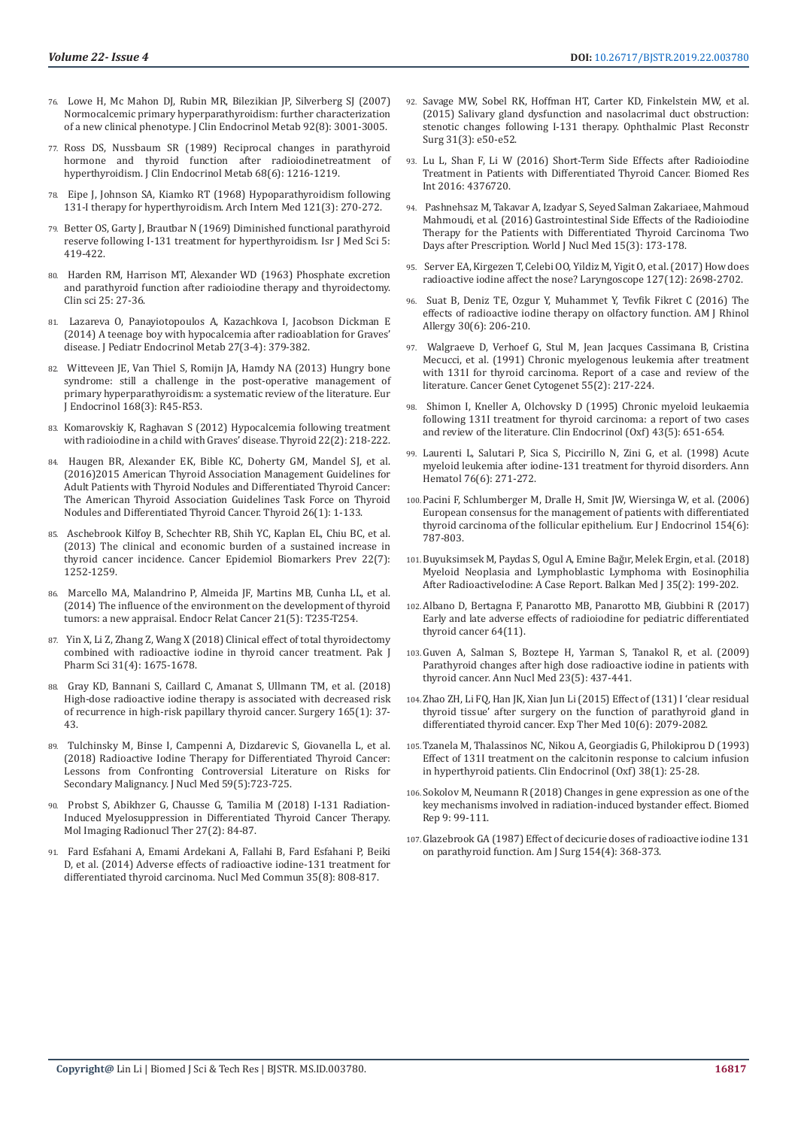- 76. [Lowe H, Mc Mahon DJ, Rubin MR, Bilezikian JP, Silverberg SJ \(2007\)](https://www.ncbi.nlm.nih.gov/pubmed/17536001)  [Normocalcemic primary hyperparathyroidism: further characterization](https://www.ncbi.nlm.nih.gov/pubmed/17536001)  [of a new clinical phenotype. J Clin Endocrinol Metab 92\(8\): 3001-3005.](https://www.ncbi.nlm.nih.gov/pubmed/17536001)
- 77. [Ross DS, Nussbaum SR \(1989\) Reciprocal changes in parathyroid](https://www.ncbi.nlm.nih.gov/pubmed/2723030)  [hormone and thyroid function after radioiodinetreatment of](https://www.ncbi.nlm.nih.gov/pubmed/2723030)  [hyperthyroidism. J Clin Endocrinol Metab 68\(6\): 1216-1219.](https://www.ncbi.nlm.nih.gov/pubmed/2723030)
- Eipe J, Johnson SA, Kiamko RT (1968) Hypoparathyroidism following [131-I therapy for hyperthyroidism. Arch Intern Med 121\(3\): 270-272.](https://jamanetwork.com/journals/jamainternalmedicine/article-abstract/574260)
- 79. Better OS, Garty J, Brautbar N (1969) Diminished functional parathyroid reserve following I-131 treatment for hyperthyroidism. Isr J Med Sci 5: 419-422.
- 80. [Harden RM, Harrison MT, Alexander WD \(1963\) Phosphate excretion](https://www.ncbi.nlm.nih.gov/pubmed/14058241)  [and parathyroid function after radioiodine therapy and thyroidectomy.](https://www.ncbi.nlm.nih.gov/pubmed/14058241)  [Clin sci 25: 27-36.](https://www.ncbi.nlm.nih.gov/pubmed/14058241)
- Lazareva O, Panayiotopoulos A, Kazachkova I, Jacobson Dickman E [\(2014\) A teenage boy with hypocalcemia after radioablation for Graves'](https://www.ncbi.nlm.nih.gov/pubmed/24197765)  [disease. J Pediatr Endocrinol Metab 27\(3-4\): 379-382.](https://www.ncbi.nlm.nih.gov/pubmed/24197765)
- 82. [Witteveen JE, Van Thiel S, Romijn JA, Hamdy NA \(2013\) Hungry bone](https://www.ncbi.nlm.nih.gov/pubmed/23152439)  [syndrome: still a challenge in the post-operative management of](https://www.ncbi.nlm.nih.gov/pubmed/23152439)  [primary hyperparathyroidism: a systematic review of the literature. Eur](https://www.ncbi.nlm.nih.gov/pubmed/23152439)  [J Endocrinol 168\(3\): R45-R53.](https://www.ncbi.nlm.nih.gov/pubmed/23152439)
- 83. [Komarovskiy K, Raghavan S \(2012\) Hypocalcemia following treatment](https://europepmc.org/abstract/med/22176499)  [with radioiodine in a child with Graves' disease. Thyroid 22\(2\): 218-222.](https://europepmc.org/abstract/med/22176499)
- Haugen BR, Alexander EK, Bible KC, Doherty GM, Mandel SJ, et al. [\(2016\)2015 American Thyroid Association Management Guidelines for](https://www.ncbi.nlm.nih.gov/pubmed/26462967)  [Adult Patients with Thyroid Nodules and Differentiated Thyroid Cancer:](https://www.ncbi.nlm.nih.gov/pubmed/26462967)  [The American Thyroid Association Guidelines Task Force on Thyroid](https://www.ncbi.nlm.nih.gov/pubmed/26462967)  [Nodules and Differentiated Thyroid Cancer. Thyroid 26\(1\): 1-133.](https://www.ncbi.nlm.nih.gov/pubmed/26462967)
- 85. [Aschebrook Kilfoy B, Schechter RB, Shih YC, Kaplan EL, Chiu BC, et al.](https://www.ncbi.nlm.nih.gov/pubmed/23677575)  [\(2013\) The clinical and economic burden of a sustained increase in](https://www.ncbi.nlm.nih.gov/pubmed/23677575)  [thyroid cancer incidence. Cancer Epidemiol Biomarkers Prev 22\(7\):](https://www.ncbi.nlm.nih.gov/pubmed/23677575)  [1252-1259.](https://www.ncbi.nlm.nih.gov/pubmed/23677575)
- Marcello MA, Malandrino P, Almeida JF, Martins MB, Cunha LL, et al. [\(2014\) The influence of the environment on the development of thyroid](https://www.ncbi.nlm.nih.gov/pubmed/24948559)  [tumors: a new appraisal. Endocr Relat Cancer 21\(5\): T235-T254.](https://www.ncbi.nlm.nih.gov/pubmed/24948559)
- 87. [Yin X, Li Z, Zhang Z, Wang X \(2018\) Clinical effect of total thyroidectomy](https://www.ncbi.nlm.nih.gov/pubmed/30203760)  [combined with radioactive iodine in thyroid cancer treatment. Pak J](https://www.ncbi.nlm.nih.gov/pubmed/30203760)  [Pharm Sci 31\(4\): 1675-1678.](https://www.ncbi.nlm.nih.gov/pubmed/30203760)
- 88. [Gray KD, Bannani S, Caillard C, Amanat S, Ullmann TM, et al. \(2018\)](https://www.ncbi.nlm.nih.gov/pubmed/30274732)  [High-dose radioactive iodine therapy is associated with decreased risk](https://www.ncbi.nlm.nih.gov/pubmed/30274732)  [of recurrence in high-risk papillary thyroid cancer. Surgery 165\(1\): 37-](https://www.ncbi.nlm.nih.gov/pubmed/30274732) [43.](https://www.ncbi.nlm.nih.gov/pubmed/30274732)
- 89. [Tulchinsky M, Binse I, Campenni A, Dizdarevic S, Giovanella L, et al.](https://www.ncbi.nlm.nih.gov/pubmed/29653977)  [\(2018\) Radioactive Iodine Therapy for Differentiated Thyroid Cancer:](https://www.ncbi.nlm.nih.gov/pubmed/29653977)  [Lessons from Confronting Controversial Literature on Risks for](https://www.ncbi.nlm.nih.gov/pubmed/29653977)  [Secondary Malignancy. J Nucl Med 59\(5\):723-725.](https://www.ncbi.nlm.nih.gov/pubmed/29653977)
- 90. [Probst S, Abikhzer G, Chausse G, Tamilia M \(2018\) I-131 Radiation-](https://www.ncbi.nlm.nih.gov/pubmed/29889031)[Induced Myelosuppression in Differentiated Thyroid Cancer Therapy.](https://www.ncbi.nlm.nih.gov/pubmed/29889031)  [Mol Imaging Radionucl Ther 27\(2\): 84-87.](https://www.ncbi.nlm.nih.gov/pubmed/29889031)
- 91. [Fard Esfahani A, Emami Ardekani A, Fallahi B, Fard Esfahani P, Beiki](https://www.ncbi.nlm.nih.gov/pubmed/24751702)  [D, et al. \(2014\) Adverse effects of radioactive iodine-131 treatment for](https://www.ncbi.nlm.nih.gov/pubmed/24751702)  [differentiated thyroid carcinoma. Nucl Med Commun 35\(8\): 808-817.](https://www.ncbi.nlm.nih.gov/pubmed/24751702)
- 92. [Savage MW, Sobel RK, Hoffman HT, Carter KD, Finkelstein MW, et al.](https://www.ncbi.nlm.nih.gov/pubmed/24836449) [\(2015\) Salivary gland dysfunction and nasolacrimal duct obstruction:](https://www.ncbi.nlm.nih.gov/pubmed/24836449) [stenotic changes following I-131 therapy. Ophthalmic Plast Reconstr](https://www.ncbi.nlm.nih.gov/pubmed/24836449) [Surg 31\(3\): e50-e52.](https://www.ncbi.nlm.nih.gov/pubmed/24836449)
- 93. [Lu L, Shan F, Li W \(2016\) Short-Term Side Effects after Radioiodine](https://www.ncbi.nlm.nih.gov/pubmed/26989683) [Treatment in Patients with Differentiated Thyroid Cancer. Biomed Res](https://www.ncbi.nlm.nih.gov/pubmed/26989683) [Int 2016: 4376720.](https://www.ncbi.nlm.nih.gov/pubmed/26989683)
- 94. [Pashnehsaz M, Takavar A, Izadyar S, Seyed Salman Zakariaee, Mahmoud](http://www.wjnm.org/article.asp?issn=1450-1147;year=2016;volume=15;issue=3;spage=173;epage=178;aulast=Pashnehsaz) [Mahmoudi, et al. \(2016\) Gastrointestinal Side Effects of the Radioiodine](http://www.wjnm.org/article.asp?issn=1450-1147;year=2016;volume=15;issue=3;spage=173;epage=178;aulast=Pashnehsaz) [Therapy for the Patients with Differentiated Thyroid Carcinoma Two](http://www.wjnm.org/article.asp?issn=1450-1147;year=2016;volume=15;issue=3;spage=173;epage=178;aulast=Pashnehsaz) [Days after Prescription. World J Nucl Med 15\(3\): 173-178.](http://www.wjnm.org/article.asp?issn=1450-1147;year=2016;volume=15;issue=3;spage=173;epage=178;aulast=Pashnehsaz)
- 95. [Server EA, Kirgezen T, Celebi OO, Yildiz M, Yigit O, et al. \(2017\) How does](https://www.ncbi.nlm.nih.gov/pubmed/28498633) [radioactive iodine affect the nose? Laryngoscope 127\(12\): 2698-2702.](https://www.ncbi.nlm.nih.gov/pubmed/28498633)
- 96. [Suat B, Deniz TE, Ozgur Y, Muhammet Y, Tevfik Fikret C \(2016\) The](https://www.ncbi.nlm.nih.gov/pubmed/28124642) [effects of radioactive iodine therapy on olfactory function. AM J Rhinol](https://www.ncbi.nlm.nih.gov/pubmed/28124642) [Allergy 30\(6\): 206-210.](https://www.ncbi.nlm.nih.gov/pubmed/28124642)
- 97. [Walgraeve D, Verhoef G, Stul M, Jean Jacques Cassimana B, Cristina](https://www.cancergeneticsjournal.org/article/0165-4608(91)90080-E/fulltext) [Mecucci, et al. \(1991\) Chronic myelogenous leukemia after treatment](https://www.cancergeneticsjournal.org/article/0165-4608(91)90080-E/fulltext) [with 131I for thyroid carcinoma. Report of a case and review of the](https://www.cancergeneticsjournal.org/article/0165-4608(91)90080-E/fulltext) [literature. Cancer Genet Cytogenet 55\(2\): 217-224.](https://www.cancergeneticsjournal.org/article/0165-4608(91)90080-E/fulltext)
- 98. [Shimon I, Kneller A, Olchovsky D \(1995\) Chronic myeloid leukaemia](https://www.ncbi.nlm.nih.gov/pubmed/8548952) [following 131I treatment for thyroid carcinoma: a report of two cases](https://www.ncbi.nlm.nih.gov/pubmed/8548952) [and review of the literature. Clin Endocrinol \(Oxf\) 43\(5\): 651-654.](https://www.ncbi.nlm.nih.gov/pubmed/8548952)
- 99. [Laurenti L, Salutari P, Sica S, Piccirillo N, Zini G, et al. \(1998\) Acute](https://www.ncbi.nlm.nih.gov/pubmed/9692815) [myeloid leukemia after iodine-131 treatment for thyroid disorders. Ann](https://www.ncbi.nlm.nih.gov/pubmed/9692815) [Hematol 76\(6\): 271-272.](https://www.ncbi.nlm.nih.gov/pubmed/9692815)
- 100.[Pacini F, Schlumberger M, Dralle H, Smit JW, Wiersinga W, et al. \(2006\)](https://www.ncbi.nlm.nih.gov/pubmed/16728537) [European consensus for the management of patients with differentiated](https://www.ncbi.nlm.nih.gov/pubmed/16728537) [thyroid carcinoma of the follicular epithelium. Eur J Endocrinol 154\(6\):](https://www.ncbi.nlm.nih.gov/pubmed/16728537) [787-803.](https://www.ncbi.nlm.nih.gov/pubmed/16728537)
- 101.[Buyuksimsek M, Paydas S, Ogul A, Emine Bağır, Melek Ergin, et al. \(2018\)](https://www.ncbi.nlm.nih.gov/pmc/articles/PMC5863261/) [Myeloid Neoplasia and Lymphoblastic Lymphoma with Eosinophilia](https://www.ncbi.nlm.nih.gov/pmc/articles/PMC5863261/) [After RadioactiveIodine: A Case Report. Balkan Med J 35\(2\): 199-202.](https://www.ncbi.nlm.nih.gov/pmc/articles/PMC5863261/)
- 102.[Albano D, Bertagna F, Panarotto MB, Panarotto MB, Giubbini R \(2017\)](https://www.ncbi.nlm.nih.gov/pubmed/28436606) [Early and late adverse effects of radioiodine for pediatric differentiated](https://www.ncbi.nlm.nih.gov/pubmed/28436606) [thyroid cancer 64\(11\).](https://www.ncbi.nlm.nih.gov/pubmed/28436606)
- 103.[Guven A, Salman S, Boztepe H, Yarman S, Tanakol R, et al. \(2009\)](https://www.ncbi.nlm.nih.gov/pubmed/19455388) [Parathyroid changes after high dose radioactive iodine in patients with](https://www.ncbi.nlm.nih.gov/pubmed/19455388) [thyroid cancer. Ann Nucl Med 23\(5\): 437-441.](https://www.ncbi.nlm.nih.gov/pubmed/19455388)
- 104.[Zhao ZH, Li FQ, Han JK, Xian Jun Li \(2015\) Effect of \(131\) I 'clear residual](https://www.ncbi.nlm.nih.gov/pmc/articles/PMC4665356/) [thyroid tissue' after surgery on the function of parathyroid gland in](https://www.ncbi.nlm.nih.gov/pmc/articles/PMC4665356/) [differentiated thyroid cancer. Exp Ther Med 10\(6\): 2079-2082.](https://www.ncbi.nlm.nih.gov/pmc/articles/PMC4665356/)
- 105.[Tzanela M, Thalassinos NC, Nikou A, Georgiadis G, Philokiprou D \(1993\)](https://www.ncbi.nlm.nih.gov/pubmed/8435882) [Effect of 131I treatment on the calcitonin response to calcium infusion](https://www.ncbi.nlm.nih.gov/pubmed/8435882) [in hyperthyroid patients. Clin Endocrinol \(Oxf\) 38\(1\): 25-28.](https://www.ncbi.nlm.nih.gov/pubmed/8435882)
- 106.[Sokolov M, Neumann R \(2018\) Changes in gene expression as one of the](https://www.ncbi.nlm.nih.gov/pmc/articles/PMC6036822/) [key mechanisms involved in radiation-induced bystander effect. Biomed](https://www.ncbi.nlm.nih.gov/pmc/articles/PMC6036822/) [Rep 9: 99-111.](https://www.ncbi.nlm.nih.gov/pmc/articles/PMC6036822/)
- 107.[Glazebrook GA \(1987\) Effect of decicurie doses of radioactive iodine 131](https://www.ncbi.nlm.nih.gov/pubmed/3661839) [on parathyroid function. Am J Surg 154\(4\): 368-373.](https://www.ncbi.nlm.nih.gov/pubmed/3661839)